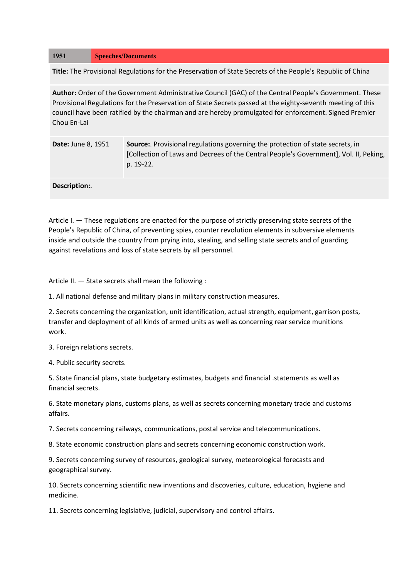## **1951 Speeches/Documents**

**Title:** The Provisional Regulations for the Preservation of State Secrets of the People's Republic of China

**Author:** Order of the Government Administrative Council (GAC) of the Central People's Government. These Provisional Regulations for the Preservation of State Secrets passed at the eighty-seventh meeting of this council have been ratified by the chairman and are hereby promulgated for enforcement. Signed Premier Chou En-Lai

| <b>Date: June 8, 1951</b> | Source: Provisional regulations governing the protection of state secrets, in<br>[Collection of Laws and Decrees of the Central People's Government], Vol. II, Peking,<br>p. 19-22. |
|---------------------------|-------------------------------------------------------------------------------------------------------------------------------------------------------------------------------------|
| Description:              |                                                                                                                                                                                     |

Article I. — These regulations are enacted for the purpose of strictly preserving state secrets of the People's Republic of China, of preventing spies, counter revolution elements in subversive elements inside and outside the country from prying into, stealing, and selling state secrets and of guarding against revelations and loss of state secrets by all personnel.

Article II. — State secrets shall mean the following :

1. All national defense and military plans in military construction measures.

2. Secrets concerning the organization, unit identification, actual strength, equipment, garrison posts, transfer and deployment of all kinds of armed units as well as concerning rear service munitions work.

3. Foreign relations secrets.

4. Public security secrets.

5. State financial plans, state budgetary estimates, budgets and financial .statements as well as financial secrets.

6. State monetary plans, customs plans, as well as secrets concerning monetary trade and customs affairs.

7. Secrets concerning railways, communications, postal service and telecommunications.

8. State economic construction plans and secrets concerning economic construction work.

9. Secrets concerning survey of resources, geological survey, meteorological forecasts and geographical survey.

10. Secrets concerning scientific new inventions and discoveries, culture, education, hygiene and medicine.

11. Secrets concerning legislative, judicial, supervisory and control affairs.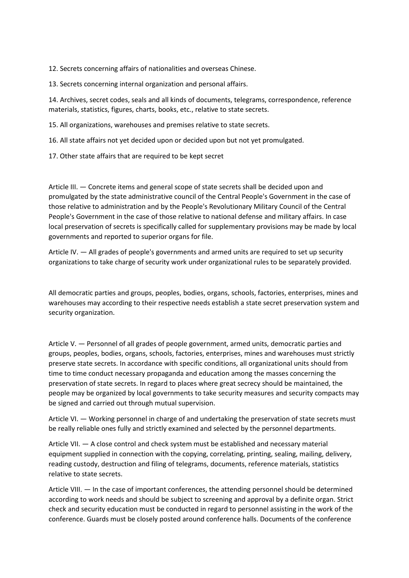12. Secrets concerning affairs of nationalities and overseas Chinese.

13. Secrets concerning internal organization and personal affairs.

14. Archives, secret codes, seals and all kinds of documents, telegrams, correspondence, reference materials, statistics, figures, charts, books, etc., relative to state secrets.

15. All organizations, warehouses and premises relative to state secrets.

16. All state affairs not yet decided upon or decided upon but not yet promulgated.

17. Other state affairs that are required to be kept secret

Article III. — Concrete items and general scope of state secrets shall be decided upon and promulgated by the state administrative council of the Central People's Government in the case of those relative to administration and by the People's Revolutionary Military Council of the Central People's Government in the case of those relative to national defense and military affairs. In case local preservation of secrets is specifically called for supplementary provisions may be made by local governments and reported to superior organs for file.

Article IV. — All grades of people's governments and armed units are required to set up security organizations to take charge of security work under organizational rules to be separately provided.

All democratic parties and groups, peoples, bodies, organs, schools, factories, enterprises, mines and warehouses may according to their respective needs establish a state secret preservation system and security organization.

Article V. — Personnel of all grades of people government, armed units, democratic parties and groups, peoples, bodies, organs, schools, factories, enterprises, mines and warehouses must strictly preserve state secrets. In accordance with specific conditions, all organizational units should from time to time conduct necessary propaganda and education among the masses concerning the preservation of state secrets. In regard to places where great secrecy should be maintained, the people may be organized by local governments to take security measures and security compacts may be signed and carried out through mutual supervision.

Article VI. — Working personnel in charge of and undertaking the preservation of state secrets must be really reliable ones fully and strictly examined and selected by the personnel departments.

Article VII. — A close control and check system must be established and necessary material equipment supplied in connection with the copying, correlating, printing, sealing, mailing, delivery, reading custody, destruction and filing of telegrams, documents, reference materials, statistics relative to state secrets.

Article VIII. — In the case of important conferences, the attending personnel should be determined according to work needs and should be subject to screening and approval by a definite organ. Strict check and security education must be conducted in regard to personnel assisting in the work of the conference. Guards must be closely posted around conference halls. Documents of the conference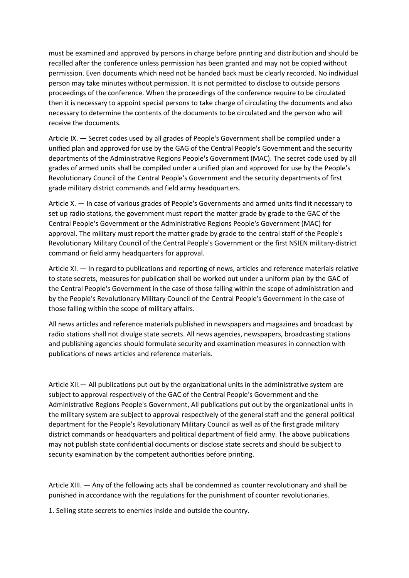must be examined and approved by persons in charge before printing and distribution and should be recalled after the conference unless permission has been granted and may not be copied without permission. Even documents which need not be handed back must be clearly recorded. No individual person may take minutes without permission. It is not permitted to disclose to outside persons proceedings of the conference. When the proceedings of the conference require to be circulated then it is necessary to appoint special persons to take charge of circulating the documents and also necessary to determine the contents of the documents to be circulated and the person who will receive the documents.

Article IX. — Secret codes used by all grades of People's Government shall be compiled under a unified plan and approved for use by the GAG of the Central People's Government and the security departments of the Administrative Regions People's Government (MAC). The secret code used by all grades of armed units shall be compiled under a unified plan and approved for use by the People's Revolutionary Council of the Central People's Government and the security departments of first grade military district commands and field army headquarters.

Article X. — In case of various grades of People's Governments and armed units find it necessary to set up radio stations, the government must report the matter grade by grade to the GAC of the Central People's Government or the Administrative Regions People's Government (MAC) for approval. The military must report the matter grade by grade to the central staff of the People's Revolutionary Military Council of the Central People's Government or the first NSIEN military-district command or field army headquarters for approval.

Article XI. — In regard to publications and reporting of news, articles and reference materials relative to state secrets, measures for publication shall be worked out under a uniform plan by the GAC of the Central People's Government in the case of those falling within the scope of administration and by the People's Revolutionary Military Council of the Central People's Government in the case of those falling within the scope of military affairs.

All news articles and reference materials published in newspapers and magazines and broadcast by radio stations shall not divulge state secrets. All news agencies, newspapers, broadcasting stations and publishing agencies should formulate security and examination measures in connection with publications of news articles and reference materials.

Article XII.— All publications put out by the organizational units in the administrative system are subject to approval respectively of the GAC of the Central People's Government and the Administrative Regions People's Government, All publications put out by the organizational units in the military system are subject to approval respectively of the general staff and the general political department for the People's Revolutionary Military Council as well as of the first grade military district commands or headquarters and political department of field army. The above publications may not publish state confidential documents or disclose state secrets and should be subject to security examination by the competent authorities before printing.

Article XIII. — Any of the following acts shall be condemned as counter revolutionary and shall be punished in accordance with the regulations for the punishment of counter revolutionaries.

1. Selling state secrets to enemies inside and outside the country.